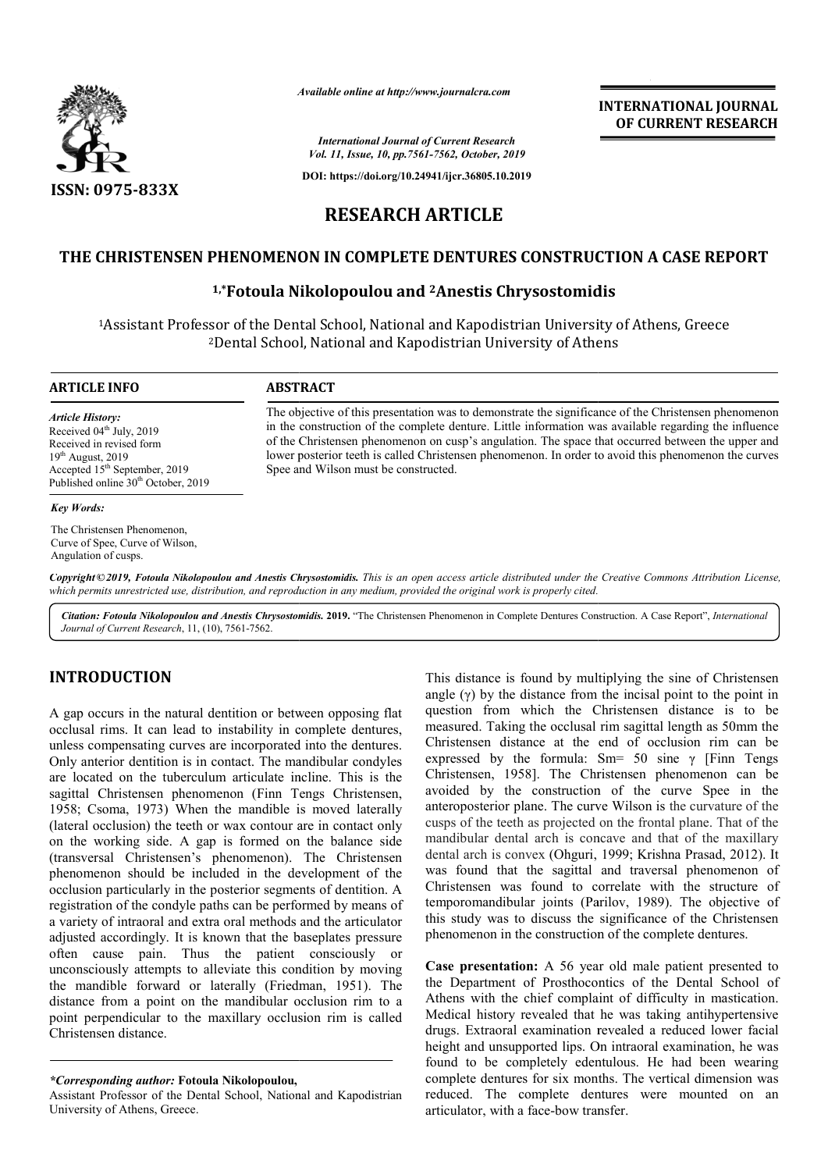

*Available online at http://www.journalcra.com*

*International Journal of Current Research Vol. 11, Issue, 10, pp.7561-7562, October, 2019*

**DOI: https://doi.org/10.24941/ijcr.36805.10.2019**

# **INTERNATIONAL JOURNAL OF CURRENT RESEARCH**

# **RESEARCH ARTICLE**

# THE CHRISTENSEN PHENOMENON IN COMPLETE DENTURES CONSTRUCTION A CASE REPORT<br><sup>1,\*</sup>Fotoula Nikolopoulou and <sup>2</sup>Anestis Chrysostomidis

### **1,\*Fotoula Nikolopoulou and Fotoula 2Anestis Chrysostomidis**

<sup>1</sup>Assistant Professor of the Dental School, National and Kapodistrian University of Athens, Greece 2Dental School, National and Kapodistrian University of Athens Dental

# **ARTICLE INFO ABSTRACT**

*Article History:* Received  $04^{\text{th}}$  July, 2019 Received in revised form  $19<sup>th</sup>$  August, 2019 Accepted  $15<sup>th</sup>$  September, 2019 Published online 30<sup>th</sup> October, 2019

#### *Key Words:*

The Christensen Phenomenon, Curve of Spee, Curve of Wilson, Angulation of cusps.

The objective of this presentation was to demonstrate the significance of the Christensen phenomenon The objective of this presentation was to demonstrate the significance of the Christensen phenomenon<br>in the construction of the complete denture. Little information was available regarding the influence of the Christensen phenomenon on cusp's angulation. The space that occurred between the upper and of the Christensen phenomenon on cusp's angulation. The space that occurred between the upper and lower posterior teeth is called Christensen phenomenon. In order to avoid this phenomenon the curves Spee and Wilson must be constructed.

Copyright © 2019, Fotoula Nikolopoulou and Anestis Chrysostomidis. This is an open access article distributed under the Creative Commons Attribution License, which permits unrestricted use, distribution, and reproduction in any medium, provided the original work is properly cited.

Citation: Fotoula Nikolopoulou and Anestis Chrysostomidis. 2019. "The Christensen Phenomenon in Complete Dentures Construction. A Case Report", International *Journal of Current Research*, 11, (10), 7561-7562.

## **INTRODUCTION**

A gap occurs in the natural dentition or between opposing flat occlusal rims. It can lead to instability in complete dentures, unless compensating curves are incorporated into the dentures. Only anterior dentition is in contact. The mandibular condyles are located on the tuberculum articulate incline. This is the are located on the tuberculum articulate incline. This is the sagittal Christensen phenomenon (Finn Tengs Christensen, 1958; Csoma, 1973) When the mandible is moved laterally (lateral occlusion) the teeth or wax contour are in contact only 1958; Csoma, 1973) When the mandible is moved laterally (lateral occlusion) the teeth or wax contour are in contact only on the working side. A gap is formed on the balance side (transversal Christensen's phenomenon). The Christensen phenomenon should be included in the development of the occlusion particularly in the posterior segments of dentition. A registration of the condyle paths can be performed by means of a variety of intraoral and extra oral methods and the articulator adjusted accordingly. It is known that the baseplates pressure often cause pain. Thus the patient consciously or unconsciously attempts to alleviate this condition by moving a variety of intraoral and extra oral methods and the articulator adjusted accordingly. It is known that the baseplates pressure often cause pain. Thus the patient consciously or unconsciously attempts to alleviate this co distance from a point on the mandibular occlusion rim to a point perpendicular to the maxillary occlusion rim is called Christensen distance.

This distance is found by main sine and clinistenes in the sine of Christensen<br>installing the sine of Christensen distance is to be installing in emplete dentures, measured. Taking the occlusal rim agital length as 50mm th angle  $(y)$  by the distance from the incisal point to the point in question from which the Christensen distance is to be measured. Taking the occlusal rim sagittal length as 50mm the Christensen distance at the end of occlusion rim can be expressed by the formula: Sm=  $50$  sine  $\gamma$  [Finn Tengs Christensen, 1958]. The Christensen phenomenon can be Christensen, 1958]. The Christensen phenomenon can be avoided by the construction of the curve Spee in the anteroposterior plane. The curve Wilson is the curvature of the cusps of the teeth as projected on the frontal plane. That of the mandibular dental arch is concave and that of the maxillary dental arch is convex (Ohguri, 1999; Krishna Prasad, 2012). It mandibular dental arch is concave and that of the maxillary dental arch is convex (Ohguri, 1999; Krishna Prasad, 2012). It was found that the sagittal and traversal phenomenon of Christensen was found to correlate with the structure of Christensen was found to correlate with the structure of temporomandibular joints (Parilov, 1989). The objective of this study was to discuss the significance of the Christensen phenomenon in the construction of the complete dentures. listance is found by multiplying the sine of Christensen (γ) by the distance from the incisal point to the point in<br>on from which the Christensen distance is to be<br>red. Taking the occlusial rim sagittal length as 50mm th **INTERNATIONAL JOURNAL OF CURRENT RESEARCH CONDICITION A CASE REPORT**<br> **STRUCTION A CASE REPORT**<br> **STRUCTION A CASE REPORT**<br> **SUPERENT RESEARCH**<br> **SUPERENT ASSEMPLENT**<br> **SUPERENT ASSEMPLENT**<br> **SUPERENT ASSEMPLENT**<br> **SUPERE** 

**Case presentation:** A 56 year old male patient presented to the Department of Prosthocontics of the Dental School of Athens with the chief complaint of difficulty in mastication. Medical history revealed that he was taking antihypertensive drugs. Extraoral examination revealed a reduced lower facial height and unsupported lips. On intraoral examination, he was found to be completely edentulous. He had been wearing complete dentures for six months. The vertical dimension was reduced. The complete dentures were mounted on an articulator, with a face-bow transfer. this study was to discuss the significance of the Christensen<br>phenomenon in the construction of the complete dentures.<br>Case presentation: A 56 year old male patient presented to<br>the Department of Prosthocontics of the Dent

*<sup>\*</sup>Corresponding author:* **Fotoula Nikolopoulou,**

Assistant Professor of the Dental School, National and Kapodistrian University of Athens, Greece.